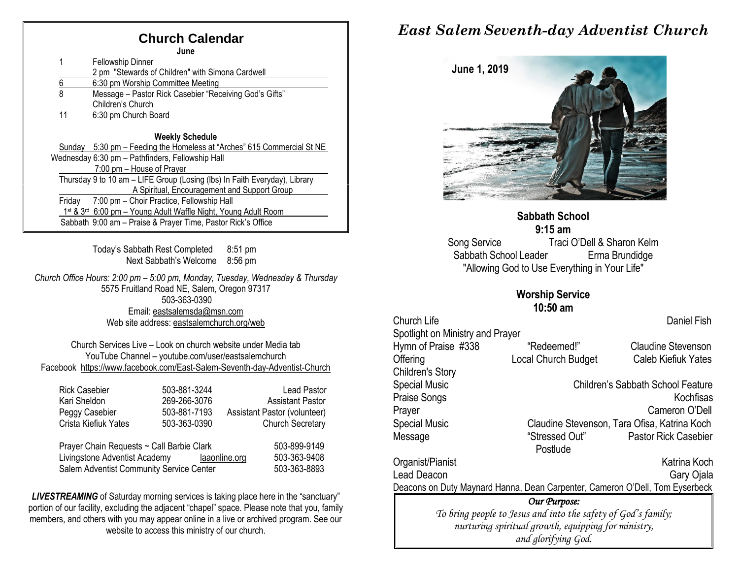## **Church Calendar**

**June**

| June     |                                                                            |  |  |
|----------|----------------------------------------------------------------------------|--|--|
|          | <b>Fellowship Dinner</b>                                                   |  |  |
|          | 2 pm "Stewards of Children" with Simona Cardwell                           |  |  |
| <u>6</u> | 6:30 pm Worship Committee Meeting                                          |  |  |
| 8        | Message - Pastor Rick Casebier "Receiving God's Gifts"                     |  |  |
|          | Children's Church                                                          |  |  |
| 11       | 6:30 pm Church Board                                                       |  |  |
|          | <b>Weekly Schedule</b>                                                     |  |  |
| Sundav   | 5:30 pm – Feeding the Homeless at "Arches" 615 Commercial St NE            |  |  |
|          | Wednesday 6:30 pm - Pathfinders, Fellowship Hall                           |  |  |
|          | 7:00 pm – House of Prayer                                                  |  |  |
|          | Thursday 9 to 10 am - LIFE Group (Losing (lbs) In Faith Everyday), Library |  |  |
|          | A Spiritual, Encouragement and Support Group                               |  |  |
| Fridav   | 7:00 pm - Choir Practice, Fellowship Hall                                  |  |  |
|          | 1st & 3rd 6:00 pm - Young Adult Waffle Night, Young Adult Room             |  |  |
|          | Sabbath 9:00 am - Praise & Prayer Time, Pastor Rick's Office               |  |  |

Today's Sabbath Rest Completed 8:51 pm Next Sabbath's Welcome 8:56 pm

*Church Office Hours: 2:00 pm – 5:00 pm, Monday, Tuesday, Wednesday & Thursday* 5575 Fruitland Road NE, Salem, Oregon 97317 503-363-0390 Email: [eastsalemsda@msn.com](mailto:eastsalemsda@msn.com) Web site address[: eastsalemchurch.org/w](http://eastsalem.adventists.info/)eb

Church Services Live – Look on church website under Media tab YouTube Channel – youtube.com/user/eastsalemchurch Facebook [https://www.facebook.com/East-Salem-Seventh-day-Adventist-Church](https://www.facebook.com/East-Salem-Seventh-day-Adventist-Church-111402832212994/?fref=ts)

| <b>Rick Casebier</b>                      | 503-881-3244 | <b>Lead Pastor</b>            |
|-------------------------------------------|--------------|-------------------------------|
| Kari Sheldon                              | 269-266-3076 | <b>Assistant Pastor</b>       |
| Peggy Casebier                            | 503-881-7193 | Assistant Pastor (volunteer)  |
| Crista Kiefiuk Yates                      | 503-363-0390 | <b>Church Secretary</b>       |
|                                           |              |                               |
| Prayer Chain Requests ~ Call Barbie Clark | 503-899-9149 |                               |
| Livingstone Adventist Academy             |              | 503-363-9408<br>laaonline.org |

Salem Adventist Community Service Center 503-363-8893

**LIVESTREAMING** of Saturday morning services is taking place here in the "sanctuary" portion of our facility, excluding the adjacent "chapel" space. Please note that you, family members, and others with you may appear online in a live or archived program. See our website to access this ministry of our church.

## *East Salem Seventh-day Adventist Church*



#### **Sabbath School 9:15 am**

Song Service Traci O'Dell & Sharon Kelm Sabbath School Leader Erma Brundidge "Allowing God to Use Everything in Your Life"

#### **Worship Service**

**10:50 am** 

| <b>Church Life</b><br>Spotlight on Ministry and Prayer                       |                                                               | Daniel Fish                                  |  |
|------------------------------------------------------------------------------|---------------------------------------------------------------|----------------------------------------------|--|
| Hymn of Praise #338                                                          | "Redeemed!"                                                   | <b>Claudine Stevenson</b>                    |  |
| Offering                                                                     | <b>Local Church Budget</b>                                    | <b>Caleb Kiefiuk Yates</b>                   |  |
| Children's Story                                                             |                                                               |                                              |  |
| <b>Special Music</b>                                                         |                                                               | <b>Children's Sabbath School Feature</b>     |  |
| Praise Songs                                                                 |                                                               | Kochfisas                                    |  |
| Prayer                                                                       |                                                               | Cameron O'Dell                               |  |
| <b>Special Music</b>                                                         |                                                               | Claudine Stevenson, Tara Ofisa, Katrina Koch |  |
| Message                                                                      | "Stressed Out"                                                | <b>Pastor Rick Casebier</b>                  |  |
|                                                                              | Postlude                                                      |                                              |  |
| Organist/Pianist                                                             |                                                               | Katrina Koch                                 |  |
| Lead Deacon                                                                  |                                                               | Gary Ojala                                   |  |
| Deacons on Duty Maynard Hanna, Dean Carpenter, Cameron O'Dell, Tom Eyserbeck |                                                               |                                              |  |
|                                                                              | Our Purpose:                                                  |                                              |  |
|                                                                              | To bring people to Jesus and into the safety of God's family; |                                              |  |

*To bring people to Jesus and into the safety of God's family; nurturing spiritual growth, equipping for ministry, and glorifying God.*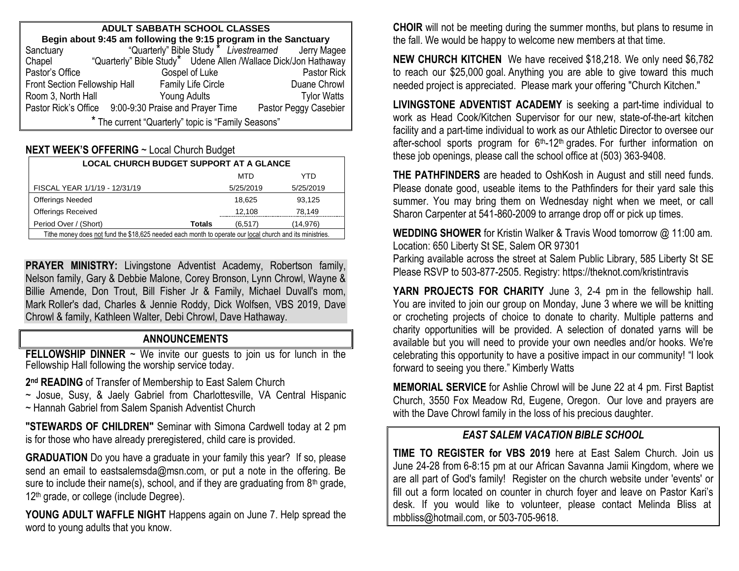| ADULT SABBATH SCHOOL CLASSES                                                                                                        |                                                       |                                                                 |  |  |  |  |
|-------------------------------------------------------------------------------------------------------------------------------------|-------------------------------------------------------|-----------------------------------------------------------------|--|--|--|--|
| <b>Begin about 9:45 am following the 9:15 program in the Sanctuary</b><br>ctuary "Quarterly" Bible Study " Livestreamed Jerry Magee |                                                       |                                                                 |  |  |  |  |
| Sanctuary                                                                                                                           |                                                       |                                                                 |  |  |  |  |
| Chapel                                                                                                                              |                                                       | "Quarterly" Bible Study* Udene Allen /Wallace Dick/Jon Hathaway |  |  |  |  |
| Pastor's Office                                                                                                                     | Gospel of Luke                                        | Pastor Rick                                                     |  |  |  |  |
| Front Section Fellowship Hall                                                                                                       | <b>Family Life Circle</b>                             | Duane Chrowl                                                    |  |  |  |  |
| Room 3, North Hall                                                                                                                  | Young Adults                                          | <b>Tylor Watts</b>                                              |  |  |  |  |
|                                                                                                                                     | Pastor Rick's Office 9:00-9:30 Praise and Prayer Time | Pastor Peggy Casebier                                           |  |  |  |  |
| * The current "Quarterly" topic is "Family Seasons"                                                                                 |                                                       |                                                                 |  |  |  |  |

#### **NEXT WEEK'S OFFERING** ~ Local Church Budget

| <b>LOCAL CHURCH BUDGET SUPPORT AT A GLANCE</b>                                                           |                           |           |  |  |
|----------------------------------------------------------------------------------------------------------|---------------------------|-----------|--|--|
|                                                                                                          | MTD                       | YTD       |  |  |
| FISCAL YEAR 1/1/19 - 12/31/19                                                                            | 5/25/2019                 | 5/25/2019 |  |  |
| <b>Offerings Needed</b>                                                                                  | 18.625                    | 93,125    |  |  |
| <b>Offerings Received</b>                                                                                | 12,108                    | 78.149    |  |  |
| Period Over / (Short)                                                                                    | <b>Totals</b><br>(6, 517) | (14,976)  |  |  |
| Tithe money does not fund the \$18,625 needed each month to operate our local church and its ministries. |                           |           |  |  |

**PRAYER MINISTRY:** Livingstone Adventist Academy, Robertson family, Nelson family, Gary & Debbie Malone, Corey Bronson, Lynn Chrowl, Wayne & Billie Amende, Don Trout, Bill Fisher Jr & Family, Michael Duvall's mom, Mark Roller's dad, Charles & Jennie Roddy, Dick Wolfsen, VBS 2019, Dave Chrowl & family, Kathleen Walter, Debi Chrowl, Dave Hathaway.

#### **ANNOUNCEMENTS**

**FELLOWSHIP DINNER** ~ We invite our guests to join us for lunch in the Fellowship Hall following the worship service today.

**2 nd READING** of Transfer of Membership to East Salem Church

~ Josue, Susy, & Jaely Gabriel from Charlottesville, VA Central Hispanic ~ Hannah Gabriel from Salem Spanish Adventist Church

**"STEWARDS OF CHILDREN"** Seminar with Simona Cardwell today at 2 pm is for those who have already preregistered, child care is provided.

**GRADUATION** Do you have a graduate in your family this year? If so, please send an email to eastsalemsda@msn.com, or put a note in the offering. Be sure to include their name(s), school, and if they are graduating from  $8<sup>th</sup>$  grade, 12<sup>th</sup> grade, or college (include Degree).

YOUNG ADULT WAFFLE NIGHT Happens again on June 7. Help spread the word to young adults that you know.

**CHOIR** will not be meeting during the summer months, but plans to resume in the fall. We would be happy to welcome new members at that time.

**NEW CHURCH KITCHEN** We have received \$18,218. We only need \$6,782 to reach our \$25,000 goal. Anything you are able to give toward this much needed project is appreciated. Please mark your offering "Church Kitchen."

**LIVINGSTONE ADVENTIST ACADEMY** is seeking a part-time individual to work as Head Cook/Kitchen Supervisor for our new, state-of-the-art kitchen facility and a part-time individual to work as our Athletic Director to oversee our after-school sports program for  $6<sup>th</sup>$ -12<sup>th</sup> grades. For further information on these job openings, please call the school office at (503) 363-9408.

**THE PATHFINDERS** are headed to OshKosh in August and still need funds. Please donate good, useable items to the Pathfinders for their yard sale this summer. You may bring them on Wednesday night when we meet, or call Sharon Carpenter at 541-860-2009 to arrange drop off or pick up times.

**WEDDING SHOWER** for Kristin Walker & Travis Wood tomorrow @ 11:00 am. Location: 650 Liberty St SE, Salem OR 97301

Parking available across the street at Salem Public Library, 585 Liberty St SE Please RSVP to 503-877-2505. Registry: https://theknot.com/kristintravis

**YARN PROJECTS FOR CHARITY** June 3, 2-4 pm in the fellowship hall. You are invited to join our group on Monday, June 3 where we will be knitting or crocheting projects of choice to donate to charity. Multiple patterns and charity opportunities will be provided. A selection of donated yarns will be available but you will need to provide your own needles and/or hooks. We're celebrating this opportunity to have a positive impact in our community! "I look forward to seeing you there." Kimberly Watts

**MEMORIAL SERVICE** for Ashlie Chrowl will be June 22 at 4 pm. First Baptist Church, 3550 Fox Meadow Rd, Eugene, Oregon. Our love and prayers are with the Dave Chrowl family in the loss of his precious daughter.

#### *EAST SALEM VACATION BIBLE SCHOOL*

**TIME TO REGISTER for VBS 2019** here at East Salem Church. Join us June 24-28 from 6-8:15 pm at our African Savanna Jamii Kingdom, where we are all part of God's family! Register on the church website under 'events' or fill out a form located on counter in church foyer and leave on Pastor Kari's desk. If you would like to volunteer, please contact Melinda Bliss at [mbbliss@hotmail.com,](mailto:mbbliss@hotmail.com) o[r 503-705-9618.](mailto:503-705-9618)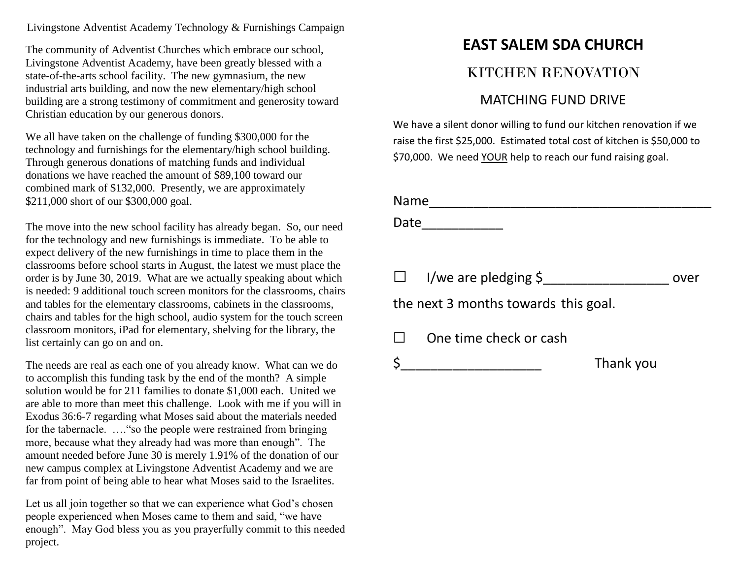Livingstone Adventist Academy Technology & Furnishings Campaign

The community of Adventist Churches which embrace our school, Livingstone Adventist Academy, have been greatly blessed with a state-of-the-arts school facility. The new gymnasium, the new industrial arts building, and now the new elementary/high school building are a strong testimony of commitment and generosity toward Christian education by our generous donors.

We all have taken on the challenge of funding \$300,000 for the technology and furnishings for the elementary/high school building. Through generous donations of matching funds and individual donations we have reached the amount of \$89,100 toward our combined mark of \$132,000. Presently, we are approximately \$211,000 short of our \$300,000 goal.

The move into the new school facility has already began. So, our need for the technology and new furnishings is immediate. To be able to expect delivery of the new furnishings in time to place them in the classrooms before school starts in August, the latest we must place the order is by June 30, 2019. What are we actually speaking about which is needed: 9 additional touch screen monitors for the classrooms, chairs and tables for the elementary classrooms, cabinets in the classrooms, chairs and tables for the high school, audio system for the touch screen classroom monitors, iPad for elementary, shelving for the library, the list certainly can go on and on.

The needs are real as each one of you already know. What can we do to accomplish this funding task by the end of the month? A simple solution would be for 211 families to donate \$1,000 each. United we are able to more than meet this challenge. Look with me if you will in Exodus 36:6-7 regarding what Moses said about the materials needed for the tabernacle. …."so the people were restrained from bringing more, because what they already had was more than enough". The amount needed before June 30 is merely 1.91% of the donation of our new campus complex at Livingstone Adventist Academy and we are far from point of being able to hear what Moses said to the Israelites.

Let us all join together so that we can experience what God's chosen people experienced when Moses came to them and said, "we have enough". May God bless you as you prayerfully commit to this needed project.

# **EAST SALEM SDA CHURCH**

### KITCHEN RENOVATION

### MATCHING FUND DRIVE

We have a silent donor willing to fund our kitchen renovation if we raise the first \$25,000. Estimated total cost of kitchen is \$50,000 to \$70,000. We need YOUR help to reach our fund raising goal.

| Name                                 |                           |      |
|--------------------------------------|---------------------------|------|
| Date                                 |                           |      |
|                                      |                           |      |
| $\Box$                               | I/we are pledging $\zeta$ | over |
| the next 3 months towards this goal. |                           |      |
| $\Box$                               | One time check or cash    |      |
| \$                                   | Thank you                 |      |